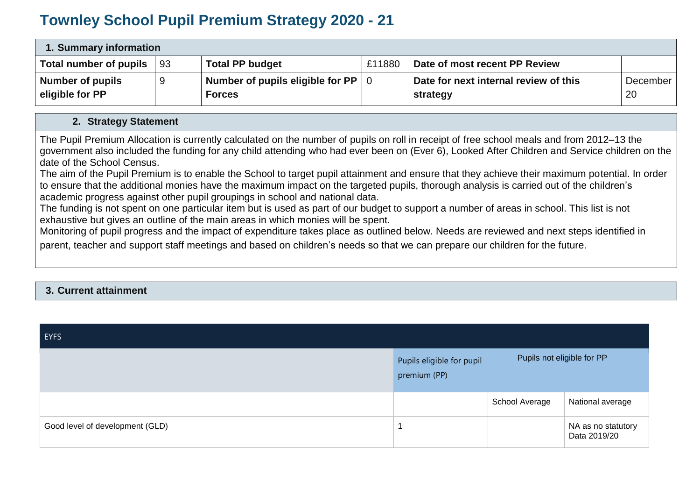## **Townley School Pupil Premium Strategy 2020 - 21**

| 1. Summary information |    |                                  |        |                                       |          |
|------------------------|----|----------------------------------|--------|---------------------------------------|----------|
| Total number of pupils | 93 | <b>Total PP budget</b>           | £11880 | Date of most recent PP Review         |          |
| Number of pupils       | -9 | Number of pupils eligible for PP |        | Date for next internal review of this | December |
| eligible for PP        |    | <b>Forces</b>                    |        | strategy                              | 20       |

## **2. Strategy Statement**

The Pupil Premium Allocation is currently calculated on the number of pupils on roll in receipt of free school meals and from 2012–13 the government also included the funding for any child attending who had ever been on (Ever 6), Looked After Children and Service children on the date of the School Census.

The aim of the Pupil Premium is to enable the School to target pupil attainment and ensure that they achieve their maximum potential. In order to ensure that the additional monies have the maximum impact on the targeted pupils, thorough analysis is carried out of the children's academic progress against other pupil groupings in school and national data.

The funding is not spent on one particular item but is used as part of our budget to support a number of areas in school. This list is not exhaustive but gives an outline of the main areas in which monies will be spent.

Monitoring of pupil progress and the impact of expenditure takes place as outlined below. Needs are reviewed and next steps identified in parent, teacher and support staff meetings and based on children's needs so that we can prepare our children for the future.

## **3. Current attainment**

| <b>EYFS</b>                     |                                           |                            |                                    |
|---------------------------------|-------------------------------------------|----------------------------|------------------------------------|
|                                 | Pupils eligible for pupil<br>premium (PP) | Pupils not eligible for PP |                                    |
|                                 |                                           | School Average             | National average                   |
| Good level of development (GLD) | -1                                        |                            | NA as no statutory<br>Data 2019/20 |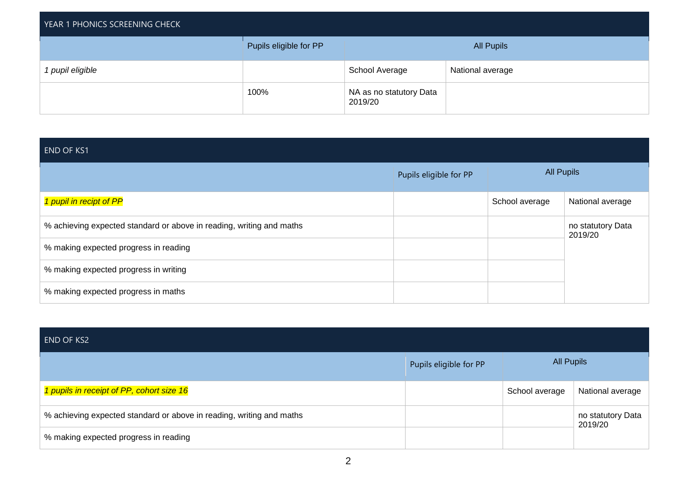| YEAR 1 PHONICS SCREENING CHECK |                        |                                    |                   |
|--------------------------------|------------------------|------------------------------------|-------------------|
|                                | Pupils eligible for PP |                                    | <b>All Pupils</b> |
| 1 pupil eligible               |                        | School Average                     | National average  |
|                                | 100%                   | NA as no statutory Data<br>2019/20 |                   |

| <b>END OF KS1</b>                                                    |                        |                   |                              |
|----------------------------------------------------------------------|------------------------|-------------------|------------------------------|
|                                                                      | Pupils eligible for PP | <b>All Pupils</b> |                              |
| 1 pupil in recipt of PP                                              |                        | School average    | National average             |
| % achieving expected standard or above in reading, writing and maths |                        |                   | no statutory Data<br>2019/20 |
| % making expected progress in reading                                |                        |                   |                              |
| % making expected progress in writing                                |                        |                   |                              |
| % making expected progress in maths                                  |                        |                   |                              |

| <b>END OF KS2</b>                                                    |                        |                   |                              |
|----------------------------------------------------------------------|------------------------|-------------------|------------------------------|
|                                                                      | Pupils eligible for PP | <b>All Pupils</b> |                              |
| 1 pupils in receipt of PP, cohort size 16                            |                        | School average    | National average             |
| % achieving expected standard or above in reading, writing and maths |                        |                   | no statutory Data<br>2019/20 |
| % making expected progress in reading                                |                        |                   |                              |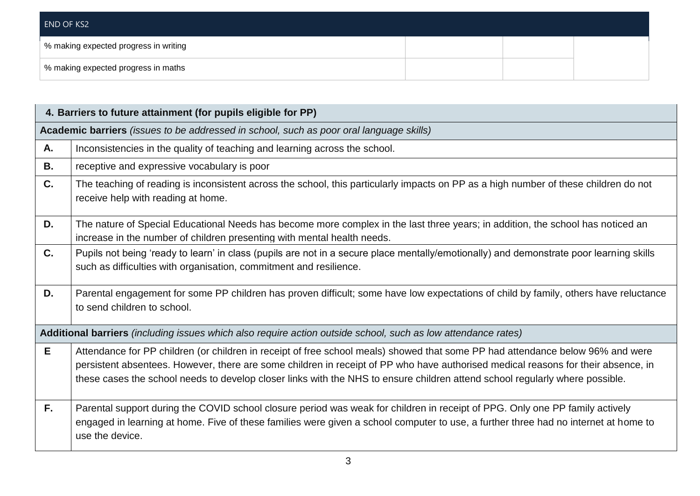| END OF KS2                            |  |  |
|---------------------------------------|--|--|
| % making expected progress in writing |  |  |
| % making expected progress in maths   |  |  |

|           | 4. Barriers to future attainment (for pupils eligible for PP)                                                                                                                                                                                                                                                                                                                                       |
|-----------|-----------------------------------------------------------------------------------------------------------------------------------------------------------------------------------------------------------------------------------------------------------------------------------------------------------------------------------------------------------------------------------------------------|
|           | Academic barriers (issues to be addressed in school, such as poor oral language skills)                                                                                                                                                                                                                                                                                                             |
| Α.        | Inconsistencies in the quality of teaching and learning across the school.                                                                                                                                                                                                                                                                                                                          |
| <b>B.</b> | receptive and expressive vocabulary is poor                                                                                                                                                                                                                                                                                                                                                         |
| C.        | The teaching of reading is inconsistent across the school, this particularly impacts on PP as a high number of these children do not<br>receive help with reading at home.                                                                                                                                                                                                                          |
| D.        | The nature of Special Educational Needs has become more complex in the last three years; in addition, the school has noticed an<br>increase in the number of children presenting with mental health needs.                                                                                                                                                                                          |
| C.        | Pupils not being 'ready to learn' in class (pupils are not in a secure place mentally/emotionally) and demonstrate poor learning skills<br>such as difficulties with organisation, commitment and resilience.                                                                                                                                                                                       |
| D.        | Parental engagement for some PP children has proven difficult; some have low expectations of child by family, others have reluctance<br>to send children to school.                                                                                                                                                                                                                                 |
|           | Additional barriers (including issues which also require action outside school, such as low attendance rates)                                                                                                                                                                                                                                                                                       |
| E         | Attendance for PP children (or children in receipt of free school meals) showed that some PP had attendance below 96% and were<br>persistent absentees. However, there are some children in receipt of PP who have authorised medical reasons for their absence, in<br>these cases the school needs to develop closer links with the NHS to ensure children attend school regularly where possible. |
| F.        | Parental support during the COVID school closure period was weak for children in receipt of PPG. Only one PP family actively<br>engaged in learning at home. Five of these families were given a school computer to use, a further three had no internet at home to<br>use the device.                                                                                                              |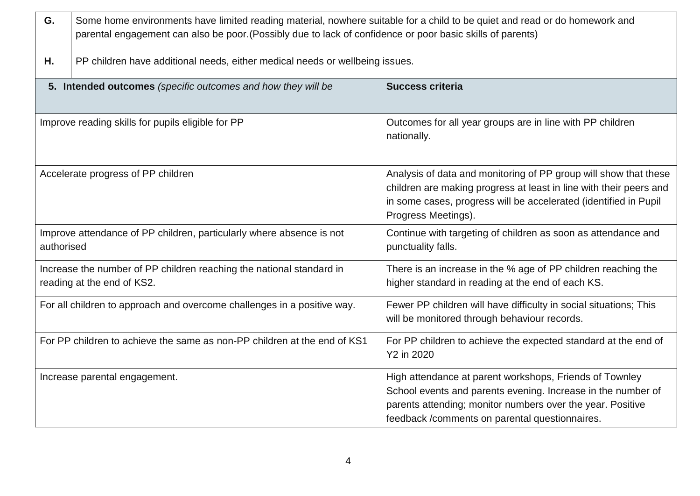| G.                                                                                 | Some home environments have limited reading material, nowhere suitable for a child to be quiet and read or do homework and<br>parental engagement can also be poor. (Possibly due to lack of confidence or poor basic skills of parents) |                                                                                                                                                                                                                                         |  |  |  |
|------------------------------------------------------------------------------------|------------------------------------------------------------------------------------------------------------------------------------------------------------------------------------------------------------------------------------------|-----------------------------------------------------------------------------------------------------------------------------------------------------------------------------------------------------------------------------------------|--|--|--|
| Η.                                                                                 | PP children have additional needs, either medical needs or wellbeing issues.                                                                                                                                                             |                                                                                                                                                                                                                                         |  |  |  |
|                                                                                    | 5. Intended outcomes (specific outcomes and how they will be                                                                                                                                                                             | <b>Success criteria</b>                                                                                                                                                                                                                 |  |  |  |
|                                                                                    |                                                                                                                                                                                                                                          |                                                                                                                                                                                                                                         |  |  |  |
|                                                                                    | Improve reading skills for pupils eligible for PP                                                                                                                                                                                        | Outcomes for all year groups are in line with PP children<br>nationally.                                                                                                                                                                |  |  |  |
| Accelerate progress of PP children                                                 |                                                                                                                                                                                                                                          | Analysis of data and monitoring of PP group will show that these<br>children are making progress at least in line with their peers and<br>in some cases, progress will be accelerated (identified in Pupil<br>Progress Meetings).       |  |  |  |
| Improve attendance of PP children, particularly where absence is not<br>authorised |                                                                                                                                                                                                                                          | Continue with targeting of children as soon as attendance and<br>punctuality falls.                                                                                                                                                     |  |  |  |
|                                                                                    | Increase the number of PP children reaching the national standard in<br>reading at the end of KS2.                                                                                                                                       | There is an increase in the % age of PP children reaching the<br>higher standard in reading at the end of each KS.                                                                                                                      |  |  |  |
|                                                                                    | For all children to approach and overcome challenges in a positive way.                                                                                                                                                                  | Fewer PP children will have difficulty in social situations; This<br>will be monitored through behaviour records.                                                                                                                       |  |  |  |
| For PP children to achieve the same as non-PP children at the end of KS1           |                                                                                                                                                                                                                                          | For PP children to achieve the expected standard at the end of<br>Y2 in 2020                                                                                                                                                            |  |  |  |
|                                                                                    | Increase parental engagement.                                                                                                                                                                                                            | High attendance at parent workshops, Friends of Townley<br>School events and parents evening. Increase in the number of<br>parents attending; monitor numbers over the year. Positive<br>feedback /comments on parental questionnaires. |  |  |  |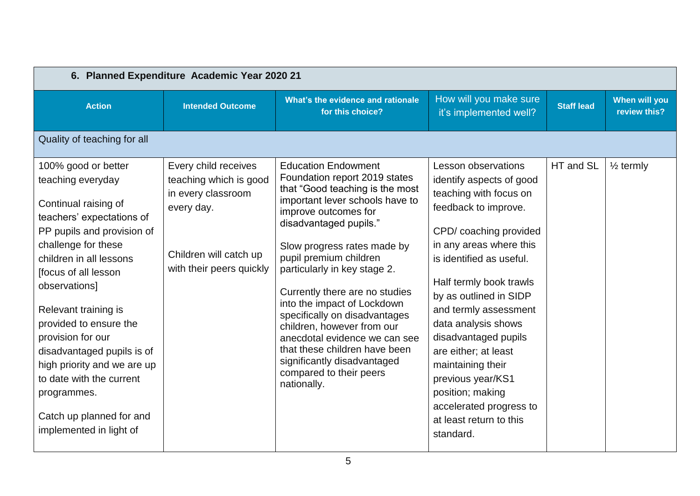| 6. Planned Expenditure Academic Year 2020 21                                                                                                                                                                                                                                                                                                                                                                                                                 |                                                                                                                                          |                                                                                                                                                                                                                                                                                                                                                                                                                                                                                                                                                         |                                                                                                                                                                                                                                                                                                                                                                                                                                                                                |                   |                               |  |
|--------------------------------------------------------------------------------------------------------------------------------------------------------------------------------------------------------------------------------------------------------------------------------------------------------------------------------------------------------------------------------------------------------------------------------------------------------------|------------------------------------------------------------------------------------------------------------------------------------------|---------------------------------------------------------------------------------------------------------------------------------------------------------------------------------------------------------------------------------------------------------------------------------------------------------------------------------------------------------------------------------------------------------------------------------------------------------------------------------------------------------------------------------------------------------|--------------------------------------------------------------------------------------------------------------------------------------------------------------------------------------------------------------------------------------------------------------------------------------------------------------------------------------------------------------------------------------------------------------------------------------------------------------------------------|-------------------|-------------------------------|--|
| <b>Action</b>                                                                                                                                                                                                                                                                                                                                                                                                                                                | <b>Intended Outcome</b>                                                                                                                  | What's the evidence and rationale<br>for this choice?                                                                                                                                                                                                                                                                                                                                                                                                                                                                                                   | How will you make sure<br>it's implemented well?                                                                                                                                                                                                                                                                                                                                                                                                                               | <b>Staff lead</b> | When will you<br>review this? |  |
| Quality of teaching for all                                                                                                                                                                                                                                                                                                                                                                                                                                  |                                                                                                                                          |                                                                                                                                                                                                                                                                                                                                                                                                                                                                                                                                                         |                                                                                                                                                                                                                                                                                                                                                                                                                                                                                |                   |                               |  |
| 100% good or better<br>teaching everyday<br>Continual raising of<br>teachers' expectations of<br>PP pupils and provision of<br>challenge for these<br>children in all lessons<br>[focus of all lesson<br>observations]<br>Relevant training is<br>provided to ensure the<br>provision for our<br>disadvantaged pupils is of<br>high priority and we are up<br>to date with the current<br>programmes.<br>Catch up planned for and<br>implemented in light of | Every child receives<br>teaching which is good<br>in every classroom<br>every day.<br>Children will catch up<br>with their peers quickly | <b>Education Endowment</b><br>Foundation report 2019 states<br>that "Good teaching is the most<br>important lever schools have to<br>improve outcomes for<br>disadvantaged pupils."<br>Slow progress rates made by<br>pupil premium children<br>particularly in key stage 2.<br>Currently there are no studies<br>into the impact of Lockdown<br>specifically on disadvantages<br>children, however from our<br>anecdotal evidence we can see<br>that these children have been<br>significantly disadvantaged<br>compared to their peers<br>nationally. | <b>Lesson observations</b><br>identify aspects of good<br>teaching with focus on<br>feedback to improve.<br>CPD/coaching provided<br>in any areas where this<br>is identified as useful.<br>Half termly book trawls<br>by as outlined in SIDP<br>and termly assessment<br>data analysis shows<br>disadvantaged pupils<br>are either; at least<br>maintaining their<br>previous year/KS1<br>position; making<br>accelerated progress to<br>at least return to this<br>standard. | HT and SL         | $\frac{1}{2}$ termly          |  |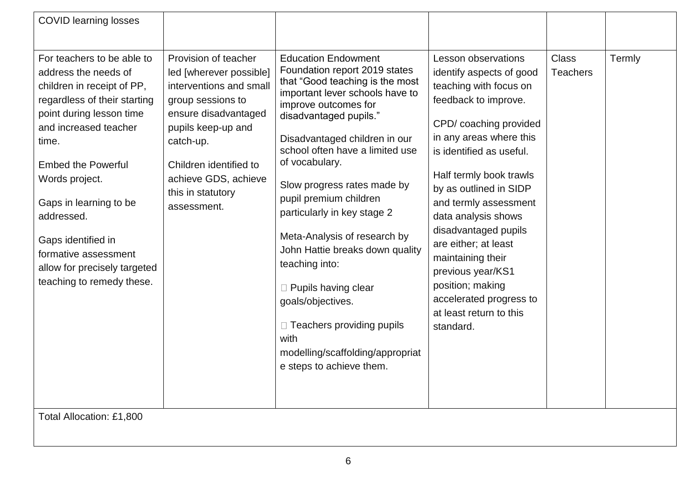| <b>COVID learning losses</b>                                                                                                                                                                                                                                                                                                                                                     |                                                                                                                                                                                                                                                  |                                                                                                                                                                                                                                                                                                                                                                                                                                                                                                                                                                                                                  |                                                                                                                                                                                                                                                                                                                                                                                                                                                                                |                                 |        |  |
|----------------------------------------------------------------------------------------------------------------------------------------------------------------------------------------------------------------------------------------------------------------------------------------------------------------------------------------------------------------------------------|--------------------------------------------------------------------------------------------------------------------------------------------------------------------------------------------------------------------------------------------------|------------------------------------------------------------------------------------------------------------------------------------------------------------------------------------------------------------------------------------------------------------------------------------------------------------------------------------------------------------------------------------------------------------------------------------------------------------------------------------------------------------------------------------------------------------------------------------------------------------------|--------------------------------------------------------------------------------------------------------------------------------------------------------------------------------------------------------------------------------------------------------------------------------------------------------------------------------------------------------------------------------------------------------------------------------------------------------------------------------|---------------------------------|--------|--|
| For teachers to be able to<br>address the needs of<br>children in receipt of PP,<br>regardless of their starting<br>point during lesson time<br>and increased teacher<br>time.<br><b>Embed the Powerful</b><br>Words project.<br>Gaps in learning to be<br>addressed.<br>Gaps identified in<br>formative assessment<br>allow for precisely targeted<br>teaching to remedy these. | Provision of teacher<br>led [wherever possible]<br>interventions and small<br>group sessions to<br>ensure disadvantaged<br>pupils keep-up and<br>catch-up.<br>Children identified to<br>achieve GDS, achieve<br>this in statutory<br>assessment. | <b>Education Endowment</b><br>Foundation report 2019 states<br>that "Good teaching is the most<br>important lever schools have to<br>improve outcomes for<br>disadvantaged pupils."<br>Disadvantaged children in our<br>school often have a limited use<br>of vocabulary.<br>Slow progress rates made by<br>pupil premium children<br>particularly in key stage 2<br>Meta-Analysis of research by<br>John Hattie breaks down quality<br>teaching into:<br>□ Pupils having clear<br>goals/objectives.<br>$\Box$ Teachers providing pupils<br>with<br>modelling/scaffolding/appropriat<br>e steps to achieve them. | <b>Lesson observations</b><br>identify aspects of good<br>teaching with focus on<br>feedback to improve.<br>CPD/coaching provided<br>in any areas where this<br>is identified as useful.<br>Half termly book trawls<br>by as outlined in SIDP<br>and termly assessment<br>data analysis shows<br>disadvantaged pupils<br>are either; at least<br>maintaining their<br>previous year/KS1<br>position; making<br>accelerated progress to<br>at least return to this<br>standard. | <b>Class</b><br><b>Teachers</b> | Termly |  |
| Total Allocation: £1,800                                                                                                                                                                                                                                                                                                                                                         |                                                                                                                                                                                                                                                  |                                                                                                                                                                                                                                                                                                                                                                                                                                                                                                                                                                                                                  |                                                                                                                                                                                                                                                                                                                                                                                                                                                                                |                                 |        |  |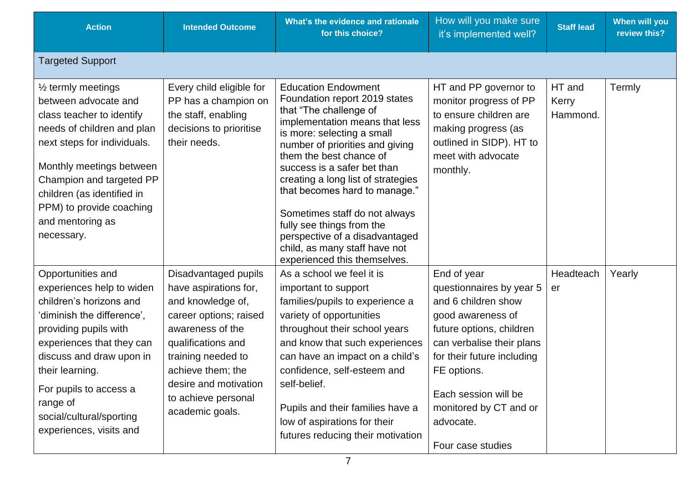| <b>Action</b>                                                                                                                                                                                                                                                                                             | <b>Intended Outcome</b>                                                                                                                                                                                                                              | What's the evidence and rationale<br>for this choice?                                                                                                                                                                                                                                                                                                                                                                                                                                      | How will you make sure<br>it's implemented well?                                                                                                                                                                                                                              | <b>Staff lead</b>           | When will you<br>review this? |
|-----------------------------------------------------------------------------------------------------------------------------------------------------------------------------------------------------------------------------------------------------------------------------------------------------------|------------------------------------------------------------------------------------------------------------------------------------------------------------------------------------------------------------------------------------------------------|--------------------------------------------------------------------------------------------------------------------------------------------------------------------------------------------------------------------------------------------------------------------------------------------------------------------------------------------------------------------------------------------------------------------------------------------------------------------------------------------|-------------------------------------------------------------------------------------------------------------------------------------------------------------------------------------------------------------------------------------------------------------------------------|-----------------------------|-------------------------------|
| <b>Targeted Support</b>                                                                                                                                                                                                                                                                                   |                                                                                                                                                                                                                                                      |                                                                                                                                                                                                                                                                                                                                                                                                                                                                                            |                                                                                                                                                                                                                                                                               |                             |                               |
| 1/ <sub>2</sub> termly meetings<br>between advocate and<br>class teacher to identify<br>needs of children and plan<br>next steps for individuals.<br>Monthly meetings between<br>Champion and targeted PP<br>children (as identified in<br>PPM) to provide coaching<br>and mentoring as<br>necessary.     | Every child eligible for<br>PP has a champion on<br>the staff, enabling<br>decisions to prioritise<br>their needs.                                                                                                                                   | <b>Education Endowment</b><br>Foundation report 2019 states<br>that "The challenge of<br>implementation means that less<br>is more: selecting a small<br>number of priorities and giving<br>them the best chance of<br>success is a safer bet than<br>creating a long list of strategies<br>that becomes hard to manage."<br>Sometimes staff do not always<br>fully see things from the<br>perspective of a disadvantaged<br>child, as many staff have not<br>experienced this themselves. | HT and PP governor to<br>monitor progress of PP<br>to ensure children are<br>making progress (as<br>outlined in SIDP). HT to<br>meet with advocate<br>monthly.                                                                                                                | HT and<br>Kerry<br>Hammond. | Termly                        |
| Opportunities and<br>experiences help to widen<br>children's horizons and<br>'diminish the difference',<br>providing pupils with<br>experiences that they can<br>discuss and draw upon in<br>their learning.<br>For pupils to access a<br>range of<br>social/cultural/sporting<br>experiences, visits and | Disadvantaged pupils<br>have aspirations for,<br>and knowledge of,<br>career options; raised<br>awareness of the<br>qualifications and<br>training needed to<br>achieve them; the<br>desire and motivation<br>to achieve personal<br>academic goals. | As a school we feel it is<br>important to support<br>families/pupils to experience a<br>variety of opportunities<br>throughout their school years<br>and know that such experiences<br>can have an impact on a child's<br>confidence, self-esteem and<br>self-belief.<br>Pupils and their families have a<br>low of aspirations for their<br>futures reducing their motivation                                                                                                             | End of year<br>questionnaires by year 5<br>and 6 children show<br>good awareness of<br>future options, children<br>can verbalise their plans<br>for their future including<br>FE options.<br>Each session will be<br>monitored by CT and or<br>advocate.<br>Four case studies | Headteach<br>er             | Yearly                        |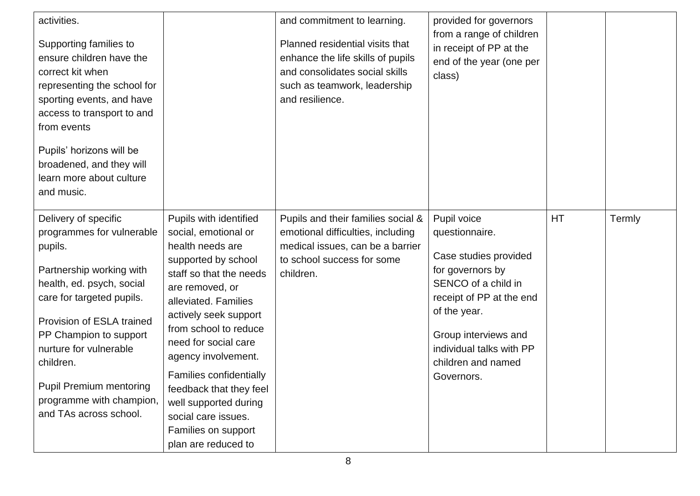| activities.<br>Supporting families to<br>ensure children have the<br>correct kit when<br>representing the school for<br>sporting events, and have<br>access to transport to and<br>from events<br>Pupils' horizons will be<br>broadened, and they will<br>learn more about culture<br>and music.                                         |                                                                                                                                                                                                                                                                                                                                                                                                                      | and commitment to learning.<br>Planned residential visits that<br>enhance the life skills of pupils<br>and consolidates social skills<br>such as teamwork, leadership<br>and resilience. | provided for governors<br>from a range of children<br>in receipt of PP at the<br>end of the year (one per<br>class)                                                                                                                   |           |        |
|------------------------------------------------------------------------------------------------------------------------------------------------------------------------------------------------------------------------------------------------------------------------------------------------------------------------------------------|----------------------------------------------------------------------------------------------------------------------------------------------------------------------------------------------------------------------------------------------------------------------------------------------------------------------------------------------------------------------------------------------------------------------|------------------------------------------------------------------------------------------------------------------------------------------------------------------------------------------|---------------------------------------------------------------------------------------------------------------------------------------------------------------------------------------------------------------------------------------|-----------|--------|
| Delivery of specific<br>programmes for vulnerable<br>pupils.<br>Partnership working with<br>health, ed. psych, social<br>care for targeted pupils.<br>Provision of ESLA trained<br>PP Champion to support<br>nurture for vulnerable<br>children.<br><b>Pupil Premium mentoring</b><br>programme with champion,<br>and TAs across school. | Pupils with identified<br>social, emotional or<br>health needs are<br>supported by school<br>staff so that the needs<br>are removed, or<br>alleviated. Families<br>actively seek support<br>from school to reduce<br>need for social care<br>agency involvement.<br>Families confidentially<br>feedback that they feel<br>well supported during<br>social care issues.<br>Families on support<br>plan are reduced to | Pupils and their families social &<br>emotional difficulties, including<br>medical issues, can be a barrier<br>to school success for some<br>children.                                   | Pupil voice<br>questionnaire.<br>Case studies provided<br>for governors by<br>SENCO of a child in<br>receipt of PP at the end<br>of the year.<br>Group interviews and<br>individual talks with PP<br>children and named<br>Governors. | <b>HT</b> | Termly |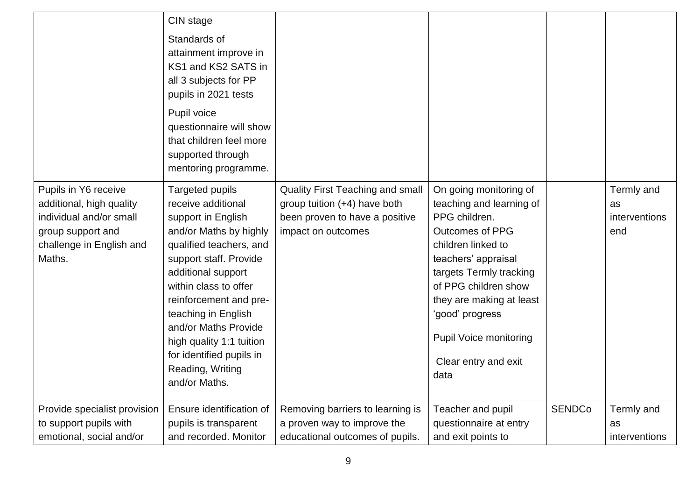|                                                                                                                                        | CIN stage<br>Standards of<br>attainment improve in<br>KS1 and KS2 SATS in<br>all 3 subjects for PP<br>pupils in 2021 tests<br>Pupil voice<br>questionnaire will show<br>that children feel more<br>supported through<br>mentoring programme.                                                                                                                           |                                                                                                                                 |                                                                                                                                                                                                                                                                                                               |               |                                          |
|----------------------------------------------------------------------------------------------------------------------------------------|------------------------------------------------------------------------------------------------------------------------------------------------------------------------------------------------------------------------------------------------------------------------------------------------------------------------------------------------------------------------|---------------------------------------------------------------------------------------------------------------------------------|---------------------------------------------------------------------------------------------------------------------------------------------------------------------------------------------------------------------------------------------------------------------------------------------------------------|---------------|------------------------------------------|
| Pupils in Y6 receive<br>additional, high quality<br>individual and/or small<br>group support and<br>challenge in English and<br>Maths. | <b>Targeted pupils</b><br>receive additional<br>support in English<br>and/or Maths by highly<br>qualified teachers, and<br>support staff. Provide<br>additional support<br>within class to offer<br>reinforcement and pre-<br>teaching in English<br>and/or Maths Provide<br>high quality 1:1 tuition<br>for identified pupils in<br>Reading, Writing<br>and/or Maths. | <b>Quality First Teaching and small</b><br>group tuition (+4) have both<br>been proven to have a positive<br>impact on outcomes | On going monitoring of<br>teaching and learning of<br>PPG children.<br><b>Outcomes of PPG</b><br>children linked to<br>teachers' appraisal<br>targets Termly tracking<br>of PPG children show<br>they are making at least<br>'good' progress<br><b>Pupil Voice monitoring</b><br>Clear entry and exit<br>data |               | Termly and<br>as<br>interventions<br>end |
| Provide specialist provision                                                                                                           | Ensure identification of                                                                                                                                                                                                                                                                                                                                               | Removing barriers to learning is                                                                                                | Teacher and pupil                                                                                                                                                                                                                                                                                             | <b>SENDCo</b> | Termly and                               |
| to support pupils with<br>emotional, social and/or                                                                                     | pupils is transparent<br>and recorded. Monitor                                                                                                                                                                                                                                                                                                                         | a proven way to improve the<br>educational outcomes of pupils.                                                                  | questionnaire at entry<br>and exit points to                                                                                                                                                                                                                                                                  |               | as<br>interventions                      |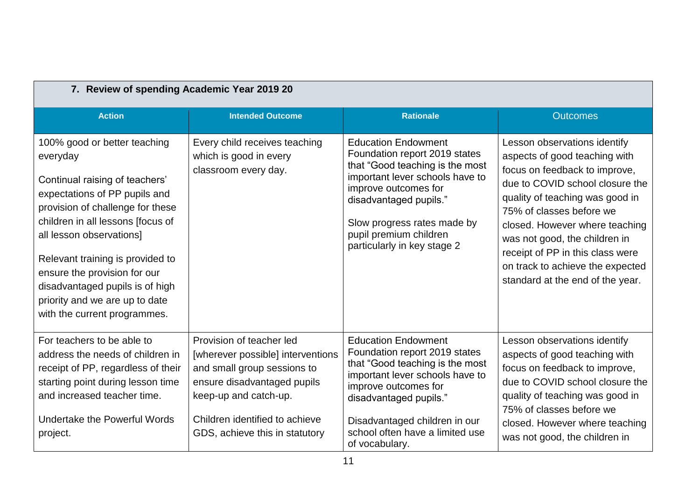| 7. Review of spending Academic Year 2019 20                                                                                                                                                                                                                                                                                                                                               |                                                                                                                                                                                                                          |                                                                                                                                                                                                                                                                             |                                                                                                                                                                                                                                                                                                                                                                                 |  |
|-------------------------------------------------------------------------------------------------------------------------------------------------------------------------------------------------------------------------------------------------------------------------------------------------------------------------------------------------------------------------------------------|--------------------------------------------------------------------------------------------------------------------------------------------------------------------------------------------------------------------------|-----------------------------------------------------------------------------------------------------------------------------------------------------------------------------------------------------------------------------------------------------------------------------|---------------------------------------------------------------------------------------------------------------------------------------------------------------------------------------------------------------------------------------------------------------------------------------------------------------------------------------------------------------------------------|--|
| <b>Action</b>                                                                                                                                                                                                                                                                                                                                                                             | <b>Intended Outcome</b>                                                                                                                                                                                                  | <b>Rationale</b>                                                                                                                                                                                                                                                            | <b>Outcomes</b>                                                                                                                                                                                                                                                                                                                                                                 |  |
| 100% good or better teaching<br>everyday<br>Continual raising of teachers'<br>expectations of PP pupils and<br>provision of challenge for these<br>children in all lessons [focus of<br>all lesson observations]<br>Relevant training is provided to<br>ensure the provision for our<br>disadvantaged pupils is of high<br>priority and we are up to date<br>with the current programmes. | Every child receives teaching<br>which is good in every<br>classroom every day.                                                                                                                                          | <b>Education Endowment</b><br>Foundation report 2019 states<br>that "Good teaching is the most<br>important lever schools have to<br>improve outcomes for<br>disadvantaged pupils."<br>Slow progress rates made by<br>pupil premium children<br>particularly in key stage 2 | Lesson observations identify<br>aspects of good teaching with<br>focus on feedback to improve,<br>due to COVID school closure the<br>quality of teaching was good in<br>75% of classes before we<br>closed. However where teaching<br>was not good, the children in<br>receipt of PP in this class were<br>on track to achieve the expected<br>standard at the end of the year. |  |
| For teachers to be able to<br>address the needs of children in<br>receipt of PP, regardless of their<br>starting point during lesson time<br>and increased teacher time.<br>Undertake the Powerful Words<br>project.                                                                                                                                                                      | Provision of teacher led<br>[wherever possible] interventions<br>and small group sessions to<br>ensure disadvantaged pupils<br>keep-up and catch-up.<br>Children identified to achieve<br>GDS, achieve this in statutory | <b>Education Endowment</b><br>Foundation report 2019 states<br>that "Good teaching is the most<br>important lever schools have to<br>improve outcomes for<br>disadvantaged pupils."<br>Disadvantaged children in our<br>school often have a limited use<br>of vocabulary.   | Lesson observations identify<br>aspects of good teaching with<br>focus on feedback to improve,<br>due to COVID school closure the<br>quality of teaching was good in<br>75% of classes before we<br>closed. However where teaching<br>was not good, the children in                                                                                                             |  |

11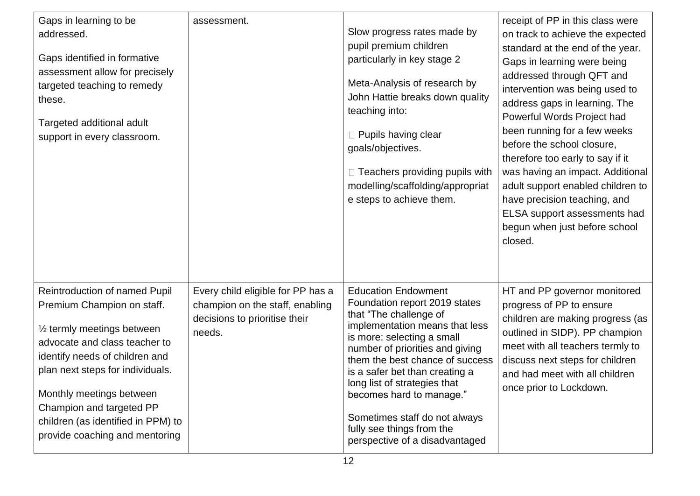| Gaps in learning to be<br>addressed.<br>Gaps identified in formative<br>assessment allow for precisely<br>targeted teaching to remedy<br>these.<br>Targeted additional adult<br>support in every classroom.                                                                                                                       | assessment.                                                                                                     | Slow progress rates made by<br>pupil premium children<br>particularly in key stage 2<br>Meta-Analysis of research by<br>John Hattie breaks down quality<br>teaching into:<br>□ Pupils having clear<br>goals/objectives.<br>$\Box$ Teachers providing pupils with<br>modelling/scaffolding/appropriat<br>e steps to achieve them.                                                                                          | receipt of PP in this class were<br>on track to achieve the expected<br>standard at the end of the year.<br>Gaps in learning were being<br>addressed through QFT and<br>intervention was being used to<br>address gaps in learning. The<br>Powerful Words Project had<br>been running for a few weeks<br>before the school closure,<br>therefore too early to say if it<br>was having an impact. Additional<br>adult support enabled children to<br>have precision teaching, and<br>ELSA support assessments had<br>begun when just before school<br>closed. |
|-----------------------------------------------------------------------------------------------------------------------------------------------------------------------------------------------------------------------------------------------------------------------------------------------------------------------------------|-----------------------------------------------------------------------------------------------------------------|---------------------------------------------------------------------------------------------------------------------------------------------------------------------------------------------------------------------------------------------------------------------------------------------------------------------------------------------------------------------------------------------------------------------------|--------------------------------------------------------------------------------------------------------------------------------------------------------------------------------------------------------------------------------------------------------------------------------------------------------------------------------------------------------------------------------------------------------------------------------------------------------------------------------------------------------------------------------------------------------------|
| Reintroduction of named Pupil<br>Premium Champion on staff.<br>1/2 termly meetings between<br>advocate and class teacher to<br>identify needs of children and<br>plan next steps for individuals.<br>Monthly meetings between<br>Champion and targeted PP<br>children (as identified in PPM) to<br>provide coaching and mentoring | Every child eligible for PP has a<br>champion on the staff, enabling<br>decisions to prioritise their<br>needs. | <b>Education Endowment</b><br>Foundation report 2019 states<br>that "The challenge of<br>implementation means that less<br>is more: selecting a small<br>number of priorities and giving<br>them the best chance of success<br>is a safer bet than creating a<br>long list of strategies that<br>becomes hard to manage."<br>Sometimes staff do not always<br>fully see things from the<br>perspective of a disadvantaged | HT and PP governor monitored<br>progress of PP to ensure<br>children are making progress (as<br>outlined in SIDP). PP champion<br>meet with all teachers termly to<br>discuss next steps for children<br>and had meet with all children<br>once prior to Lockdown.                                                                                                                                                                                                                                                                                           |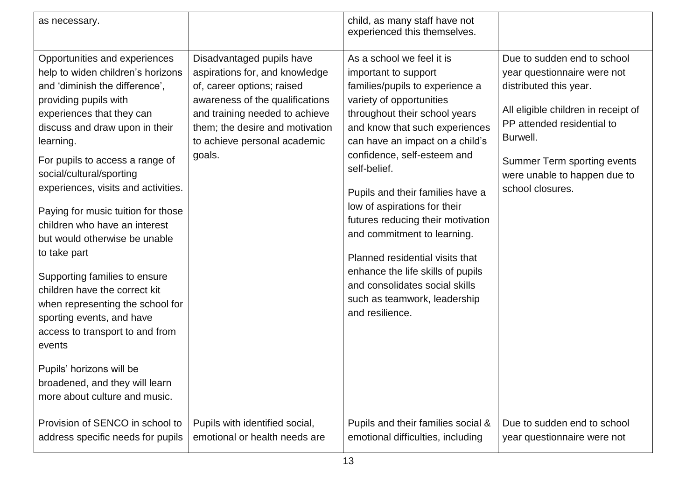| as necessary.                                                                                                                                                                                                                                                                                                                                                                                                                                                                                                                                                                                                                                                                                                          |                                                                                                                                                                                                                                             | child, as many staff have not<br>experienced this themselves.                                                                                                                                                                                                                                                                                                                                                                                                                                                                                                              |                                                                                                                                                                                                                                                          |
|------------------------------------------------------------------------------------------------------------------------------------------------------------------------------------------------------------------------------------------------------------------------------------------------------------------------------------------------------------------------------------------------------------------------------------------------------------------------------------------------------------------------------------------------------------------------------------------------------------------------------------------------------------------------------------------------------------------------|---------------------------------------------------------------------------------------------------------------------------------------------------------------------------------------------------------------------------------------------|----------------------------------------------------------------------------------------------------------------------------------------------------------------------------------------------------------------------------------------------------------------------------------------------------------------------------------------------------------------------------------------------------------------------------------------------------------------------------------------------------------------------------------------------------------------------------|----------------------------------------------------------------------------------------------------------------------------------------------------------------------------------------------------------------------------------------------------------|
| Opportunities and experiences<br>help to widen children's horizons<br>and 'diminish the difference',<br>providing pupils with<br>experiences that they can<br>discuss and draw upon in their<br>learning.<br>For pupils to access a range of<br>social/cultural/sporting<br>experiences, visits and activities.<br>Paying for music tuition for those<br>children who have an interest<br>but would otherwise be unable<br>to take part<br>Supporting families to ensure<br>children have the correct kit<br>when representing the school for<br>sporting events, and have<br>access to transport to and from<br>events<br>Pupils' horizons will be<br>broadened, and they will learn<br>more about culture and music. | Disadvantaged pupils have<br>aspirations for, and knowledge<br>of, career options; raised<br>awareness of the qualifications<br>and training needed to achieve<br>them; the desire and motivation<br>to achieve personal academic<br>goals. | As a school we feel it is<br>important to support<br>families/pupils to experience a<br>variety of opportunities<br>throughout their school years<br>and know that such experiences<br>can have an impact on a child's<br>confidence, self-esteem and<br>self-belief.<br>Pupils and their families have a<br>low of aspirations for their<br>futures reducing their motivation<br>and commitment to learning.<br>Planned residential visits that<br>enhance the life skills of pupils<br>and consolidates social skills<br>such as teamwork, leadership<br>and resilience. | Due to sudden end to school<br>year questionnaire were not<br>distributed this year.<br>All eligible children in receipt of<br>PP attended residential to<br>Burwell.<br>Summer Term sporting events<br>were unable to happen due to<br>school closures. |
| Provision of SENCO in school to<br>address specific needs for pupils                                                                                                                                                                                                                                                                                                                                                                                                                                                                                                                                                                                                                                                   | Pupils with identified social,<br>emotional or health needs are                                                                                                                                                                             | Pupils and their families social &<br>emotional difficulties, including                                                                                                                                                                                                                                                                                                                                                                                                                                                                                                    | Due to sudden end to school<br>year questionnaire were not                                                                                                                                                                                               |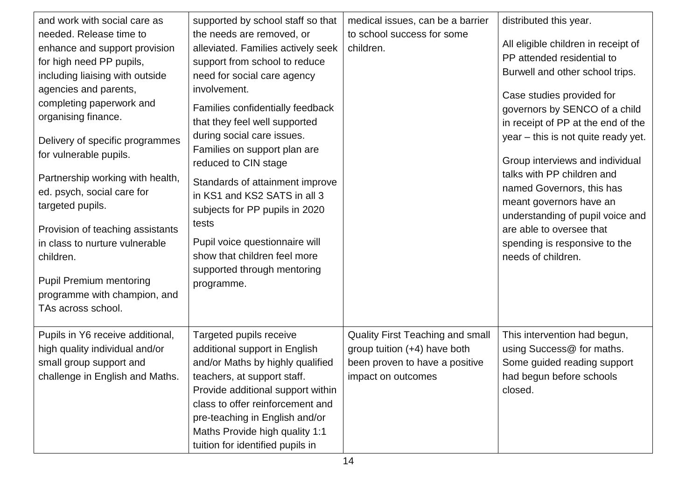| and work with social care as<br>needed. Release time to<br>enhance and support provision<br>for high need PP pupils,<br>including liaising with outside<br>agencies and parents,<br>completing paperwork and<br>organising finance.<br>Delivery of specific programmes<br>for vulnerable pupils.<br>Partnership working with health,<br>ed. psych, social care for<br>targeted pupils.<br>Provision of teaching assistants<br>in class to nurture vulnerable<br>children.<br><b>Pupil Premium mentoring</b><br>programme with champion, and<br>TAs across school. | supported by school staff so that<br>the needs are removed, or<br>alleviated. Families actively seek<br>support from school to reduce<br>need for social care agency<br>involvement.<br>Families confidentially feedback<br>that they feel well supported<br>during social care issues.<br>Families on support plan are<br>reduced to CIN stage<br>Standards of attainment improve<br>in KS1 and KS2 SATS in all 3<br>subjects for PP pupils in 2020<br>tests<br>Pupil voice questionnaire will<br>show that children feel more<br>supported through mentoring<br>programme. | medical issues, can be a barrier<br>to school success for some<br>children.                                              | distributed this year.<br>All eligible children in receipt of<br>PP attended residential to<br>Burwell and other school trips.<br>Case studies provided for<br>governors by SENCO of a child<br>in receipt of PP at the end of the<br>year – this is not quite ready yet.<br>Group interviews and individual<br>talks with PP children and<br>named Governors, this has<br>meant governors have an<br>understanding of pupil voice and<br>are able to oversee that<br>spending is responsive to the<br>needs of children. |
|-------------------------------------------------------------------------------------------------------------------------------------------------------------------------------------------------------------------------------------------------------------------------------------------------------------------------------------------------------------------------------------------------------------------------------------------------------------------------------------------------------------------------------------------------------------------|------------------------------------------------------------------------------------------------------------------------------------------------------------------------------------------------------------------------------------------------------------------------------------------------------------------------------------------------------------------------------------------------------------------------------------------------------------------------------------------------------------------------------------------------------------------------------|--------------------------------------------------------------------------------------------------------------------------|---------------------------------------------------------------------------------------------------------------------------------------------------------------------------------------------------------------------------------------------------------------------------------------------------------------------------------------------------------------------------------------------------------------------------------------------------------------------------------------------------------------------------|
| Pupils in Y6 receive additional,<br>high quality individual and/or<br>small group support and<br>challenge in English and Maths.                                                                                                                                                                                                                                                                                                                                                                                                                                  | Targeted pupils receive<br>additional support in English<br>and/or Maths by highly qualified<br>teachers, at support staff.<br>Provide additional support within<br>class to offer reinforcement and<br>pre-teaching in English and/or<br>Maths Provide high quality 1:1<br>tuition for identified pupils in                                                                                                                                                                                                                                                                 | Quality First Teaching and small<br>group tuition (+4) have both<br>been proven to have a positive<br>impact on outcomes | This intervention had begun,<br>using Success@ for maths.<br>Some guided reading support<br>had begun before schools<br>closed.                                                                                                                                                                                                                                                                                                                                                                                           |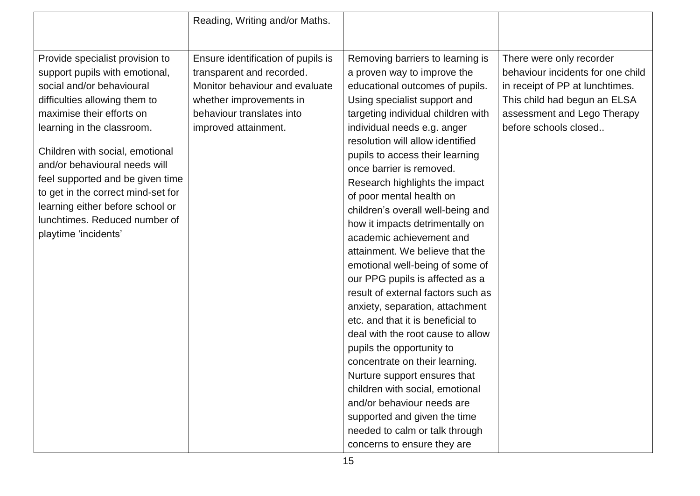|                                                                                                                                                                                                                                                                                                                                                                                                                                       | Reading, Writing and/or Maths.                                                                                                                                                    |                                                                                                                                                                                                                                                                                                                                                                                                                                                                                                                                                                                                                                                                                                                                                                                                                                                                                                                                                                                                           |                                                                                                                                                                                          |
|---------------------------------------------------------------------------------------------------------------------------------------------------------------------------------------------------------------------------------------------------------------------------------------------------------------------------------------------------------------------------------------------------------------------------------------|-----------------------------------------------------------------------------------------------------------------------------------------------------------------------------------|-----------------------------------------------------------------------------------------------------------------------------------------------------------------------------------------------------------------------------------------------------------------------------------------------------------------------------------------------------------------------------------------------------------------------------------------------------------------------------------------------------------------------------------------------------------------------------------------------------------------------------------------------------------------------------------------------------------------------------------------------------------------------------------------------------------------------------------------------------------------------------------------------------------------------------------------------------------------------------------------------------------|------------------------------------------------------------------------------------------------------------------------------------------------------------------------------------------|
| Provide specialist provision to<br>support pupils with emotional,<br>social and/or behavioural<br>difficulties allowing them to<br>maximise their efforts on<br>learning in the classroom.<br>Children with social, emotional<br>and/or behavioural needs will<br>feel supported and be given time<br>to get in the correct mind-set for<br>learning either before school or<br>lunchtimes. Reduced number of<br>playtime 'incidents' | Ensure identification of pupils is<br>transparent and recorded.<br>Monitor behaviour and evaluate<br>whether improvements in<br>behaviour translates into<br>improved attainment. | Removing barriers to learning is<br>a proven way to improve the<br>educational outcomes of pupils.<br>Using specialist support and<br>targeting individual children with<br>individual needs e.g. anger<br>resolution will allow identified<br>pupils to access their learning<br>once barrier is removed.<br>Research highlights the impact<br>of poor mental health on<br>children's overall well-being and<br>how it impacts detrimentally on<br>academic achievement and<br>attainment. We believe that the<br>emotional well-being of some of<br>our PPG pupils is affected as a<br>result of external factors such as<br>anxiety, separation, attachment<br>etc. and that it is beneficial to<br>deal with the root cause to allow<br>pupils the opportunity to<br>concentrate on their learning.<br>Nurture support ensures that<br>children with social, emotional<br>and/or behaviour needs are<br>supported and given the time<br>needed to calm or talk through<br>concerns to ensure they are | There were only recorder<br>behaviour incidents for one child<br>in receipt of PP at lunchtimes.<br>This child had begun an ELSA<br>assessment and Lego Therapy<br>before schools closed |